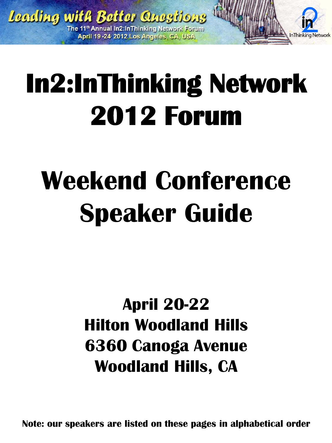

# **In2:InThinking Network 2012 Forum**

## **Weekend Conference Speaker Guide**

## **April 20-22 Hilton Woodland Hills 6360 Canoga Avenue Woodland Hills, CA**

**Note: our speakers are listed on these pages in alphabetical order**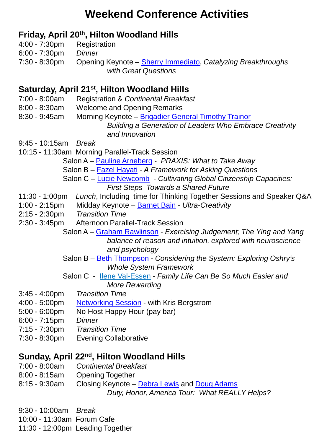#### **Weekend Conference Activities**

#### **Friday, April 20th, Hilton Woodland Hills**

- 4:00 7:30pm Registration
- 6:00 7:30pm *Dinner*
- 7:30 8:30pm Opening Keynote [Sherry Immediato,](http://in2in.org/forums/2012/Conference/SherryImmediato.html) *Catalyzing Breakthroughs with Great Questions*

#### **Saturday, April 21st, Hilton Woodland Hills**

- 7:00 8:00am Registration & *Continental Breakfast*
- 8:00 8:30am Welcome and Opening Remarks
- 8:30 9:45am Morning Keynote [Brigadier General Timothy Trainor](http://in2in.org/forums/2012/Conference/TimTrainor.html) *Building a Generation of Leaders Who Embrace Creativity and Innovation*

9:45 - 10:15am *Break*

10:15 - 11:30am Morning Parallel-Track Session

Salon A – [Pauline Arneberg](http://www.in2in.org/forums/2012/Conference/PaulineArneberg.html) *- PRAXIS: What to Take Away*

- Salon B Fazel [Hayati](http://www.in2in.org/forums/2012/Conference/FazelHayati.html) *- A Framework for Asking Questions*
- Salon C [Lucie Newcomb](http://in2in.org/forums/2012/Conference/LucieNewcomb.html) *- Cultivating Global Citizenship Capacities: First Steps Towards a Shared Future*
- 11:30 1:00pm *Lunch*, Including time for Thinking Together Sessions and Speaker Q&A
- 1:00 2:15pm Midday Keynote [Barnet Bain](http://www.in2in.org/forums/2012/Conference/BarnetBain.html) *- Ultra-Creativity*
- 2:15 2:30pm *Transition Time*
- 2:30 3:45pm Afternoon Parallel-Track Session
	- Salon A [Graham Rawlinson](http://in2in.org/forums/2012/Conference/GrahamRawlinson.html) *- Exercising Judgement; The Ying and Yang balance of reason and intuition, explored with neuroscience and psychology*
	- Salon B [Beth Thompson](http://in2in.org/forums/2012/Conference/BethThompson.html) *- Considering the System: Exploring Oshry's Whole System Framework*
	- Salon C Ilene Val-Essen *- Family Life Can Be So Much Easier and More Rewarding*
- 3:45 4:00pm *Transition Time*
- 4:00 5:00pm [Networking Session](http://in2in.org/forums/2012/Conference/KrisBergstrom.html) with Kris Bergstrom
- 5:00 6:00pm No Host Happy Hour (pay bar)
- 6:00 7:15pm *Dinner*
- 7:15 7:30pm *Transition Time*
- 7:30 8:30pm Evening Collaborative

#### **Sunday, April 22nd, Hilton Woodland Hills**

- 7:00 8:00am *Continental Breakfast*
- 8:00 8:15am Opening Together
- 8:15 9:30am Closing Keynote [Debra Lewis](http://www.in2in.org/forums/2012/Conference/DebraLewisDougAdams.html) and [Doug Adams](http://www.in2in.org/forums/2012/Conference/DebraLewisDougAdams.html)

 *Duty, Honor, America Tour: What REALLY Helps?*

9:30 - 10:00am *Break*

10:00 - 11:30am Forum Cafe

11:30 - 12:00pm Leading Together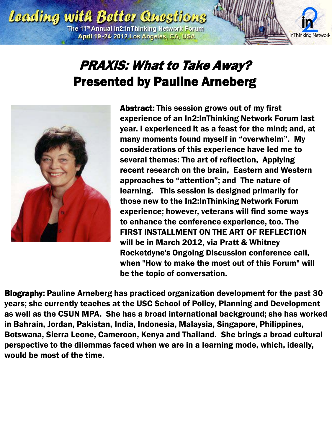

## PRAXIS: What to Take Away? Presented by Pauline Arneberg



Abstract: This session grows out of my first experience of an In2:InThinking Network Forum last year. I experienced it as a feast for the mind; and, at many moments found myself in "overwhelm". My considerations of this experience have led me to several themes: The art of reflection, Applying recent research on the brain, Eastern and Western approaches to "attention"; and The nature of learning. This session is designed primarily for those new to the In2:InThinking Network Forum experience; however, veterans will find some ways to enhance the conference experience, too. The FIRST INSTALLMENT ON THE ART OF REFLECTION will be in March 2012, via Pratt & Whitney Rocketdyne's Ongoing Discussion conference call, when "How to make the most out of this Forum" will be the topic of conversation.

Biography: Pauline Arneberg has practiced organization development for the past 30 years; she currently teaches at the USC School of Policy, Planning and Development as well as the CSUN MPA. She has a broad international background; she has worked in Bahrain, Jordan, Pakistan, India, Indonesia, Malaysia, Singapore, Philippines, Botswana, Sierra Leone, Cameroon, Kenya and Thailand. She brings a broad cultural perspective to the dilemmas faced when we are in a learning mode, which, ideally, would be most of the time.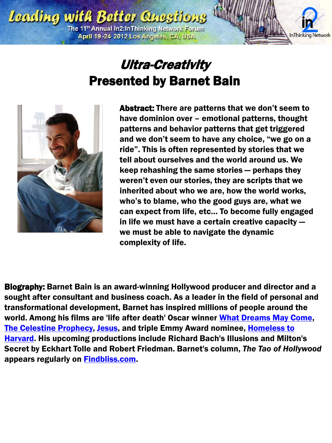

#### Ultra-Creativity Presented by Barnet Bain



Abstract: There are patterns that we don't seem to have dominion over – emotional patterns, thought patterns and behavior patterns that get triggered and we don't seem to have any choice, "we go on a ride". This is often represented by stories that we tell about ourselves and the world around us. We keep rehashing the same stories — perhaps they weren't even our stories, they are scripts that we inherited about who we are, how the world works, who's to blame, who the good guys are, what we can expect from life, etc… To become fully engaged in life we must have a certain creative capacity we must be able to navigate the dynamic complexity of life.

Biography: Barnet Bain is an award-winning Hollywood producer and director and a sought after consultant and business coach. As a leader in the field of personal and transformational development, Barnet has inspired millions of people around the world. Among his films are 'life after death' Oscar winner [What Dreams May Come,](http://www.imdb.com/title/tt0120889/) [The Celestine Prophecy,](http://www.imdb.com/title/tt0398842/) [Jesus](http://www.imdb.com/name/nm0047685/), and triple Emmy Award nominee, [Homeless to](http://www.imdb.com/title/tt0338109/)  [Harvard](http://www.imdb.com/title/tt0338109/). His upcoming productions include Richard Bach's Illusions and Milton's Secret by Eckhart Tolle and Robert Friedman. Barnet's column, *The Tao of Hollywood* appears regularly on [Findbliss.com](http://www.findbliss.com/).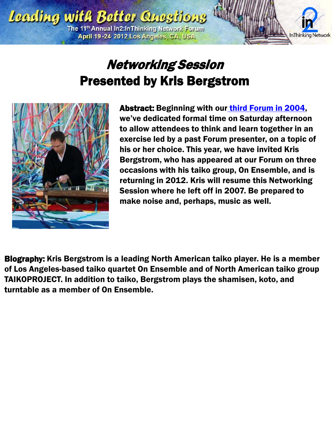

## Networking Session Presented by Kris Bergstrom



Abstract: Beginning with our [third Forum in 2004](http://in2in.org/forums/2004/index.html), we've dedicated formal time on Saturday afternoon to allow attendees to think and learn together in an exercise led by a past Forum presenter, on a topic of his or her choice. This year, we have invited Kris Bergstrom, who has appeared at our Forum on three occasions with his taiko group, On Ensemble, and is returning in 2012. Kris will resume this Networking Session where he left off in 2007. Be prepared to make noise and, perhaps, music as well.

Biography: Kris Bergstrom is a leading North American taiko player. He is a member of Los Angeles-based taiko quartet On Ensemble and of North American taiko group TAIKOPROJECT. In addition to taiko, Bergstrom plays the shamisen, koto, and turntable as a member of On Ensemble.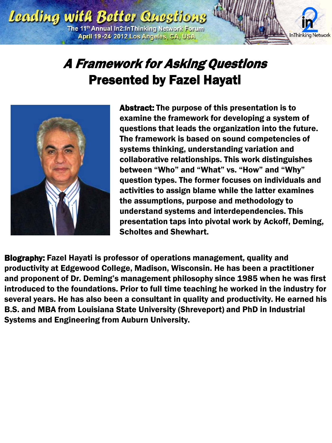

## A Framework for Asking Questions Presented by Fazel Hayati



Abstract: The purpose of this presentation is to examine the framework for developing a system of questions that leads the organization into the future. The framework is based on sound competencies of systems thinking, understanding variation and collaborative relationships. This work distinguishes between "Who" and "What" vs. "How" and "Why" question types. The former focuses on individuals and activities to assign blame while the latter examines the assumptions, purpose and methodology to understand systems and interdependencies. This presentation taps into pivotal work by Ackoff, Deming, Scholtes and Shewhart.

Biography: Fazel Hayati is professor of operations management, quality and productivity at Edgewood College, Madison, Wisconsin. He has been a practitioner and proponent of Dr. Deming's management philosophy since 1985 when he was first introduced to the foundations. Prior to full time teaching he worked in the industry for several years. He has also been a consultant in quality and productivity. He earned his B.S. and MBA from Louisiana State University (Shreveport) and PhD in Industrial Systems and Engineering from Auburn University.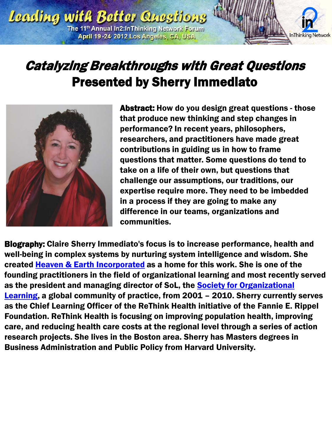

### Catalyzing Breakthroughs with Great Questions Presented by Sherry Immediato



Abstract: How do you design great questions - those that produce new thinking and step changes in performance? In recent years, philosophers, researchers, and practitioners have made great contributions in guiding us in how to frame questions that matter. Some questions do tend to take on a life of their own, but questions that challenge our assumptions, our traditions, our expertise require more. They need to be imbedded in a process if they are going to make any difference in our teams, organizations and communities.

Biography: Claire Sherry Immediato's focus is to increase performance, health and well-being in complex systems by nurturing system intelligence and wisdom. She created [Heaven & Earth Incorporated](http://www.heaven-and-earth.com/) as a home for this work. She is one of the founding practitioners in the field of organizational learning and most recently served as the president and managing director of SoL, the Society for Organizational [Learning](http://www.solonline.org/), a global community of practice, from 2001 – 2010. Sherry currently serves as the Chief Learning Officer of the ReThink Health initiative of the Fannie E. Rippel Foundation. ReThink Health is focusing on improving population health, improving care, and reducing health care costs at the regional level through a series of action research projects. She lives in the Boston area. Sherry has Masters degrees in Business Administration and Public Policy from Harvard University.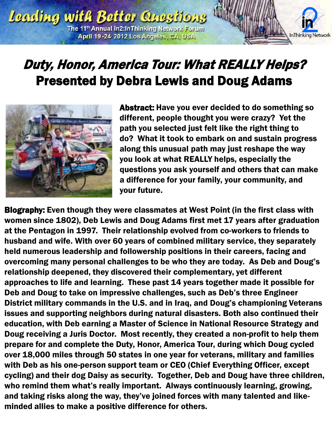

## Duty, Honor, America Tour: What REALLY Helps? Presented by Debra Lewis and Doug Adams



Abstract: Have you ever decided to do something so different, people thought you were crazy? Yet the path you selected just felt like the right thing to do? What it took to embark on and sustain progress along this unusual path may just reshape the way you look at what REALLY helps, especially the questions you ask yourself and others that can make a difference for your family, your community, and your future.

Biography: Even though they were classmates at West Point (in the first class with women since 1802), Deb Lewis and Doug Adams first met 17 years after graduation at the Pentagon in 1997. Their relationship evolved from co-workers to friends to husband and wife. With over 60 years of combined military service, they separately held numerous leadership and followership positions in their careers, facing and overcoming many personal challenges to be who they are today. As Deb and Doug's relationship deepened, they discovered their complementary, yet different approaches to life and learning. These past 14 years together made it possible for Deb and Doug to take on impressive challenges, such as Deb's three Engineer District military commands in the U.S. and in Iraq, and Doug's championing Veterans issues and supporting neighbors during natural disasters. Both also continued their education, with Deb earning a Master of Science in National Resource Strategy and Doug receiving a Juris Doctor. Most recently, they created a non-profit to help them prepare for and complete the Duty, Honor, America Tour, during which Doug cycled over 18,000 miles through 50 states in one year for veterans, military and families with Deb as his one-person support team or CEO (Chief Everything Officer, except cycling) and their dog Daisy as security. Together, Deb and Doug have three children, who remind them what's really important. Always continuously learning, growing, and taking risks along the way, they've joined forces with many talented and likeminded allies to make a positive difference for others.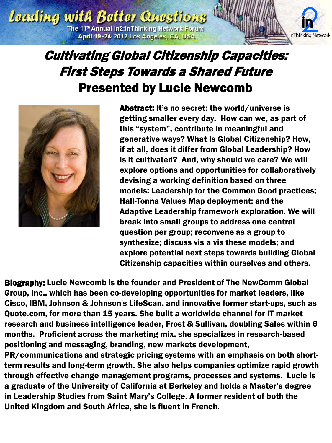

#### Cultivating Global Citizenship Capacities: First Steps Towards a Shared Future Presented by Lucie Newcomb



Abstract: It's no secret: the world/universe is getting smaller every day. How can we, as part of this "system", contribute in meaningful and generative ways? What Is Global Citizenship? How, if at all, does it differ from Global Leadership? How is it cultivated? And, why should we care? We will explore options and opportunities for collaboratively devising a working definition based on three models: Leadership for the Common Good practices; Hall-Tonna Values Map deployment; and the Adaptive Leadership framework exploration. We will break into small groups to address one central question per group; reconvene as a group to synthesize; discuss vis a vis these models; and explore potential next steps towards building Global Citizenship capacities within ourselves and others.

Biography: Lucie Newcomb is the founder and President of The NewComm Global Group, Inc., which has been co-developing opportunities for market leaders, like Cisco, IBM, Johnson & Johnson's LifeScan, and innovative former start-ups, such as Quote.com, for more than 15 years. She built a worldwide channel for IT market research and business intelligence leader, Frost & Sullivan, doubling Sales within 6 months. Proficient across the marketing mix, she specializes in research-based positioning and messaging, branding, new markets development,

PR/communications and strategic pricing systems with an emphasis on both shortterm results and long-term growth. She also helps companies optimize rapid growth through effective change management programs, processes and systems. Lucie is a graduate of the University of California at Berkeley and holds a Master's degree in Leadership Studies from Saint Mary's College. A former resident of both the United Kingdom and South Africa, she is fluent in French.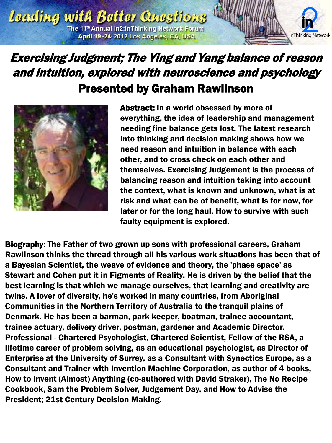

#### Exercising Judgment; The Ying and Yang balance of reason and intuition, explored with neuroscience and psychology Presented by Graham Rawlinson



Abstract: In a world obsessed by more of everything, the idea of leadership and management needing fine balance gets lost. The latest research into thinking and decision making shows how we need reason and intuition in balance with each other, and to cross check on each other and themselves. Exercising Judgement is the process of balancing reason and intuition taking into account the context, what is known and unknown, what is at risk and what can be of benefit, what is for now, for later or for the long haul. How to survive with such faulty equipment is explored.

Biography: The Father of two grown up sons with professional careers, Graham Rawlinson thinks the thread through all his various work situations has been that of a Bayesian Scientist, the weave of evidence and theory, the 'phase space' as Stewart and Cohen put it in Figments of Reality. He is driven by the belief that the best learning is that which we manage ourselves, that learning and creativity are twins. A lover of diversity, he's worked in many countries, from Aboriginal Communities in the Northern Territory of Australia to the tranquil plains of Denmark. He has been a barman, park keeper, boatman, trainee accountant, trainee actuary, delivery driver, postman, gardener and Academic Director. Professional - Chartered Psychologist, Chartered Scientist, Fellow of the RSA, a lifetime career of problem solving, as an educational psychologist, as Director of Enterprise at the University of Surrey, as a Consultant with Synectics Europe, as a Consultant and Trainer with Invention Machine Corporation, as author of 4 books, How to Invent (Almost) Anything (co-authored with David Straker), The No Recipe Cookbook, Sam the Problem Solver, Judgement Day, and How to Advise the President; 21st Century Decision Making.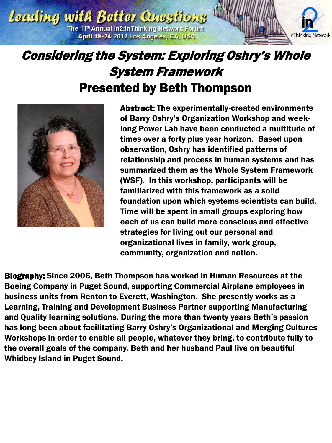

#### Considering the System: Exploring Oshry's Whole System Framework Presented by Beth Thompson



Abstract: The experimentally-created environments of Barry Oshry's Organization Workshop and weeklong Power Lab have been conducted a multitude of times over a forty plus year horizon. Based upon observation, Oshry has identified patterns of relationship and process in human systems and has summarized them as the Whole System Framework (WSF). In this workshop, participants will be familiarized with this framework as a solid foundation upon which systems scientists can build. Time will be spent in small groups exploring how each of us can build more conscious and effective strategies for living out our personal and organizational lives in family, work group, community, organization and nation.

Biography: Since 2006, Beth Thompson has worked in Human Resources at the Boeing Company in Puget Sound, supporting Commercial Airplane employees in business units from Renton to Everett, Washington. She presently works as a Learning, Training and Development Business Partner supporting Manufacturing and Quality learning solutions. During the more than twenty years Beth's passion has long been about facilitating Barry Oshry's Organizational and Merging Cultures Workshops in order to enable all people, whatever they bring, to contribute fully to the overall goals of the company. Beth and her husband Paul live on beautiful Whidbey Island in Puget Sound.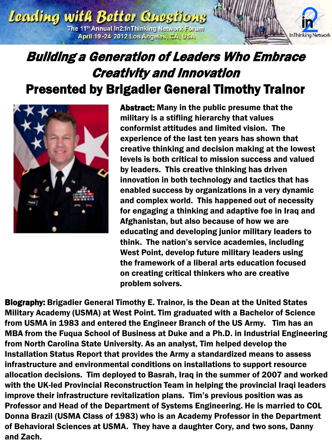

### Building a Generation of Leaders Who Embrace Creativity and Innovation Presented by Brigadier General Timothy Trainor



Abstract: Many in the public presume that the military is a stifling hierarchy that values conformist attitudes and limited vision. The experience of the last ten years has shown that creative thinking and decision making at the lowest levels is both critical to mission success and valued by leaders. This creative thinking has driven innovation in both technology and tactics that has enabled success by organizations in a very dynamic and complex world. This happened out of necessity for engaging a thinking and adaptive foe in Iraq and Afghanistan, but also because of how we are educating and developing junior military leaders to think. The nation's service academies, including West Point, develop future military leaders using the framework of a liberal arts education focused on creating critical thinkers who are creative problem solvers.

Biography: Brigadier General Timothy E. Trainor, is the Dean at the United States Military Academy (USMA) at West Point. Tim graduated with a Bachelor of Science from USMA in 1983 and entered the Engineer Branch of the US Army. Tim has an MBA from the Fuqua School of Business at Duke and a Ph.D. in Industrial Engineering from North Carolina State University. As an analyst, Tim helped develop the Installation Status Report that provides the Army a standardized means to assess infrastructure and environmental conditions on installations to support resource allocation decisions. Tim deployed to Basrah, Iraq in the summer of 2007 and worked with the UK-led Provincial Reconstruction Team in helping the provincial Iraqi leaders improve their infrastructure revitalization plans. Tim's previous position was as Professor and Head of the Department of Systems Engineering. He is married to COL Donna Brazil (USMA Class of 1983) who is an Academy Professor in the Department of Behavioral Sciences at USMA. They have a daughter Cory, and two sons, Danny and Zach.